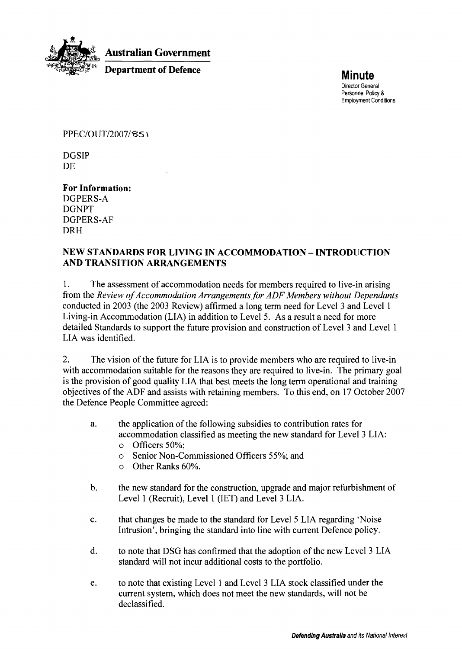

'. **Australian Government** 

**Department of Defence Minute** 

Director General Personnel Policy **8**  Employment Conditions

PPEC/OUT/2007/851

DGSIP DE

**For Information:**  DGPERS-A DGNPT DGPERS-AF DRH

#### **NEW STANDARDS FOR LIVING IN ACCOMMODATION** - **INTRODUCTION AND TRANSITION ARRANGEMENTS**

1. The assessment of accommodation needs for members required to live-in arising from the *Review of Accommodation Arrangements for ADF Members without Dependants* conducted in 2003 (the 2003 Review) affirmed a long term need for Level 3 and Level 1 Living-in Accommodation (LIA) in addition to Level 5. As a result a need for more detailed Standards to support the future provision and construction of Level 3 and Level 1 LIA was identified.

2. The vision of the future for LIA is to provide members who are required to live-in with accommodation suitable for the reasons they are required to live-in. The primary goal is the provision of good quality LIA that best meets the long term operational and training objectives of the ADF and assists with retaining members. To this end, on 17 October 2007 the Defence People Committee agreed:

- a. the application of the following subsidies to contribution rates for accommodation classified as meeting the new standard for Level 3 LIA:
	- o Officers 50%;
	- o Senior Non-Commissioned Officers 55%; and
	- o Other Ranks 60%.
- b. the new standard for the construction, upgrade and major refurbishment of Level 1 (Recruit), Level 1 (IET) and Level 3 LIA.
- c. that changes be made to the standard for Level 5 LIA regarding 'Noise Intrusion', bringing the standard into line with current Defence policy.
- d. to note that DSG has confirmed that the adoption of the new Level 3 LIA standard will not incur additional costs to the portfolio.
- e. to note that existing Level 1 and Level 3 LIA stock classified under the current system, which does not meet the new standards, will not be declassified.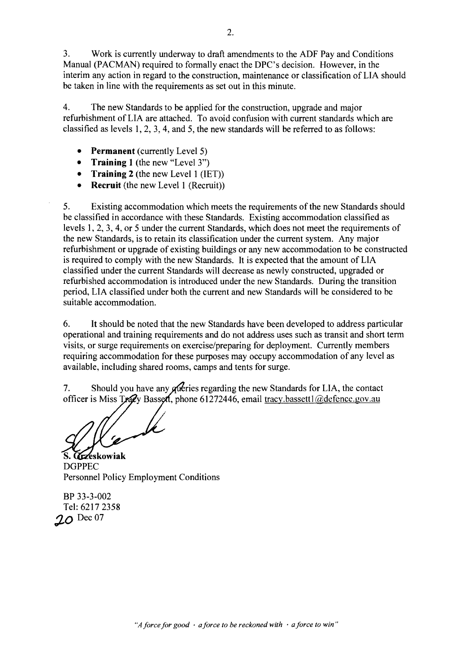3. Work is currently underway to draft amendments to the ADF Pay and Conditions Manual (PACMAN) required to formally enact the DPC's decision. However, in the interim any action in regard to the construction, maintenance or classification of LIA should be taken in line with the requirements as set out in this minute.

4. The new Standards to be applied for the construction, upgrade and major refurbishment of LIA are attached. To avoid confusion with current standards which are classified as levels 1,2, 3,4, and 5, the new standards will be referred to as follows:

- **Permanent** (currently Level 5)
- $\bullet$ **Training** 1 (the new "Level 3")
- $\bullet$ **Training 2** (the new Level 1 (IET))
- $\bullet$ **Recruit** (the new Level 1 (Recruit))

5. Existing accommodation which meets the requirements of the new Standards should be classified in accordance with these Standards. Existing accommodation classified as levels 1, 2, 3, 4, or 5 under the current Standards, which does not meet the requirements of the new Standards, is to retain its classification under the current system. Any major refurbishment or upgrade of existing buildings or any new accommodation to be constructed is required to comply with the new Standards. It is expected that the amount of LIA classified under the current Standards will decrease as newly constructed, upgraded or refurbished accommodation is introduced under the new Standards. During the transition period, LIA classified under both the current and new Standards will be considered to be suitable accommodation.

6. **It** should be noted that the new Standards have been developed to address particular operational and training requirements and do not address uses such as transit and short term visits, or surge requirements on exercise/preparing for deployment. Currently members requiring accommodation for these purposes may occupy accommodation of any level as available, including shared rooms, camps and tents for surge.

Should you have any *gueries* regarding the new Standards for LIA, the contact  $7<sub>1</sub>$ officer is Miss Tracy Bassett, phone 61272446, email tracy.bassett1@defence.gov.au

S. Grzeskowiak DGPPEC Personnel Policy Employment Conditions

BP 33-3-002 Tel: 6217 2358 **\$0** Dec 07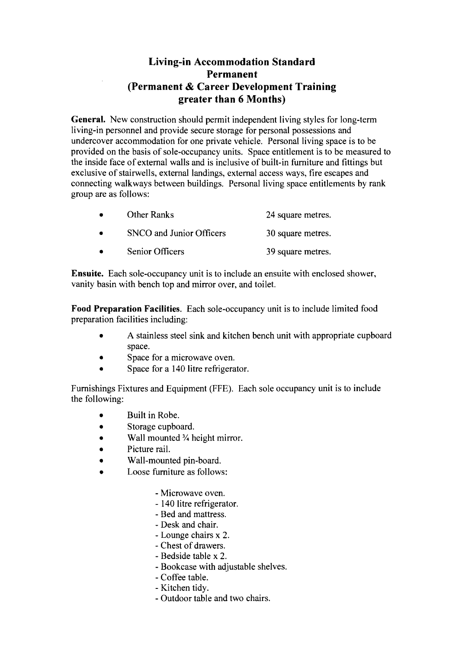## **Living-in Accommodation Standard Permanent (Permanent** & **Career Development Training greater than 6 Months)**

**General.** New construction should permit independent living styles for long-term living-in personnel and provide secure storage for personal possessions and undercover accommodation for one private vehicle. Personal living space is to be provided on the basis of sole-occupancy units. Space entitlement is to be measured to the inside face of external walls and is inclusive of built-in furniture and fittings but exclusive of stairwells, external landings, external access ways, fire escapes and connecting walkways between buildings. Personal living space entitlements by rank group are as follows:

| $\bullet$ | <b>Other Ranks</b>       | 24 square metres. |
|-----------|--------------------------|-------------------|
| $\bullet$ | SNCO and Junior Officers | 30 square metres. |
|           | Senior Officers          | 39 square metres. |

**Ensuite.** Each sole-occupancy unit is to include an ensuite with enclosed shower, vanity basin with bench top and mirror over, and toilet.

**Food Preparation Facilities.** Each sole-occupancy unit is to include limited food preparation facilities including:

- **A** stainless steel sink and kitchen bench unit with appropriate cupboard space.
- Space for a microwave oven.
- Space for a 140 litre refrigerator.

Furnishings Fixtures and Equipment (FFE). Each sole occupancy unit is to include the following:

- Built in Robe.
- Storage cupboard.
- Wall mounted <sup>3</sup>/<sub>4</sub> height mirror.
- Picture rail.
- Wall-mounted pin-board.
- Loose furniture as follows:
	- Microwave oven.
	- 140 litre refrigerator.
	- Bed and mattress.
	- Desk and chair.
	- Lounge chairs x 2.
	- Chest of drawers.
	- Bedside table x 2.
	- Bookcase with adjustable shelves.
	- Coffee table.
	- Kitchen tidy.
	- Outdoor table and two chairs.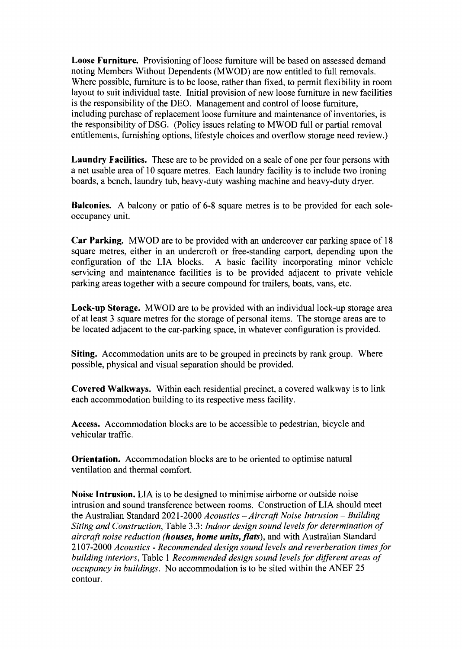**Loose Furniture.** Provisioning of loose furniture will be based on assessed demand noting Members Without Dependents (MWOD) are now entitled to full removals. Where possible, furniture is to be loose, rather than fixed, to permit flexibility in room layout to suit individual taste. Initial provision of new loose furniture in new facilities is the responsibility of the DEO. Management and control of loose furniture, including purchase of replacement loose furniture and maintenance of inventories, is the responsibility of DSG. (Policy issues relating to MWOD full or partial removal entitlements, furnishing options, lifestyle choices and overflow storage need review.)

**Laundry Facilities.** These are to be provided on a scale of one per four persons with a net usable area of 10 square metres. Each laundry facility is to include two ironing boards, a bench, laundry tub, heavy-duty washing machine and heavy-duty dryer.

**Balconies.** A balcony or patio of 6-8 square metres is to be provided for each soleoccupancy unit.

**Car Parking.** MWOD are to be provided with an undercover car parking space of 18 square metres, either in an undercroft or free-standing carport, depending upon the configuration of the LIA blocks. A basic facility incorporating minor vehicle servicing and maintenance facilities is to be provided adjacent to private vehicle parking areas together with a secure compound for trailers, boats, vans, etc.

**Lock-up Storage.** MWOD are to be provided with an individual lock-up storage area of at least 3 square metres for the storage of personal items. The storage areas are to be located adjacent to the car-parking space, in whatever configuration is provided.

**Siting.** Accommodation units are to be grouped in precincts by rank group. Where possible, physical and visual separation should be provided.

**Covered Walkways.** Within each residential precinct, a covered walkway is to link each accommodation building to its respective mess facility.

**Access.** Accommodation blocks are to be accessible to pedestrian, bicycle and vehicular traffic.

**Orientation.** Accommodation blocks are to be oriented to optimise natural ventilation and thermal comfort.

**Noise Intrusion.** LIA is to be designed to minimise airborne or outside noise intrusion and sound transference between rooms. Construction of LIA should meet the Australian Standard 2021 -2000 *Acoustics -Aircraft Noise Intrusion* - *Building Siting and Construction,* Table *3.3: Indoor design sound levels for determination of aircraft noise reduction (houses, home units, flats)*, and with Australian Standard 2 107-2000 *Acoustics* - *Recommended design sound levels and reverberation times for building interiors,* Table 1 *Recommended design sound levels for different areas of occupancy in buildings.* No accommodation is to be sited within the ANEF 25 contour.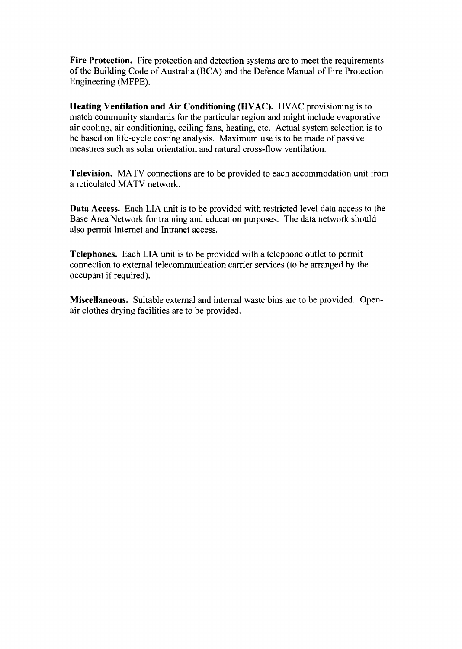**Fire Protection.** Fire protection and detection systems are to meet the requirements of the Building Code of Australia (BCA) and the Defence Manual of Fire Protection Engineering (MFPE).

**Heating Ventilation and Air Conditioning (HVAC).** HVAC provisioning is to match community standards for the particular region and might include evaporative air cooling, air conditioning, ceiling fans, heating, etc. Actual system selection is to be based on life-cycle costing analysis. Maximum use is to be made of passive measures such as solar orientation and natural cross-flow ventilation.

**Television.** MATV connections are to be provided to each accommodation unit from a reticulated MATV network.

**Data Access.** Each LIA unit is to be provided with restricted level data access to the Base Area Network for training and education purposes. The data network should also permit Internet and Intranet access.

**Telephones.** Each LIA unit is to be provided with a telephone outlet to permit connection to external telecommunication carrier services (to be arranged by the occupant if required).

**Miscellaneous.** Suitable external and internal waste bins are to be provided. Openair clothes drying facilities are to be provided.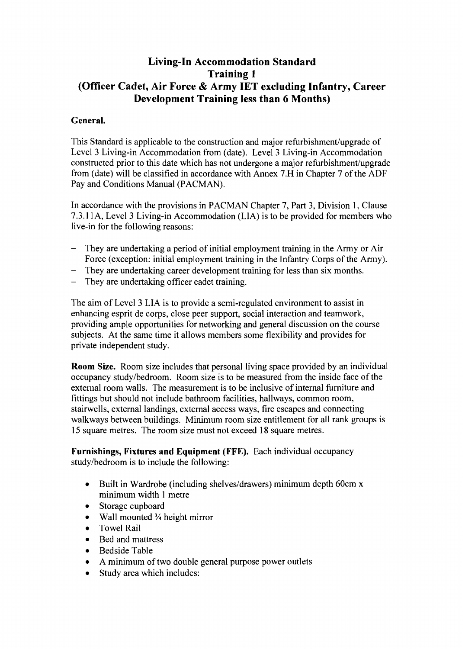## **Living-In Accommodation Standard Training 1 (Officer Cadet, Air Force** & **Army IET excluding Infantry, Career Development Training less than 6 Months)**

#### **General.**

This Standard is applicable to the construction and major refurbishment/upgrade of Level 3 Living-in Accommodation from (date). Level 3 Living-in Accommodation constructed prior to this date which has not undergone a major refurbishment/upgrade from (date) will be classified in accordance with Annex 7.H in Chapter 7 of the ADF Pay and Conditions Manual (PACMAN).

In accordance with the provisions in PACMAN Chapter 7, Part 3, Division 1, Clause 7.3.11A, Level 3 Living-in Accommodation (LIA) is to be provided for members who live-in for the following reasons:

- They are undertaking a period of initial employment training in the Army or Air Force (exception: initial employment training in the Infantry Corps of the Army).
- They are undertaking career development training for less than six months.
- They are undertaking officer cadet training.

The aim of Level **3** LIA is to provide a semi-regulated environment to assist in enhancing esprit de corps, close peer support, social interaction and teamwork, providing ample opportunities for networking and general discussion on the course subjects. At the same time it allows members some flexibility and provides for private independent study.

**Room Size.** Room size includes that personal living space provided by an individual occupancy studyhedroom. Room size is to be measured from the inside face of the external room walls. The measurement is to be inclusive of internal furniture and fittings but should not include bathroom facilities, hallways, common room, stairwells, external landings, external access ways, fire escapes and connecting walkways between buildings. Minimum room size entitlement for all rank groups is 15 square metres. The room size must not exceed 18 square metres.

**Furnishings, Fixtures and Equipment (FFE).** Each individual occupancy study/bedroom is to include the following:

- Built in Wardrobe (including shelves/drawers) minimum depth 60cm x  $\bullet$ minimum width 1 metre
- Storage cupboard  $\bullet$
- Wall mounted <sup>3</sup>/<sub>4</sub> height mirror  $\bullet$
- Towel Rail
- Bed and mattress
- Bedside Table  $\bullet$
- A minimum of two double general purpose power outlets
- Study area which includes: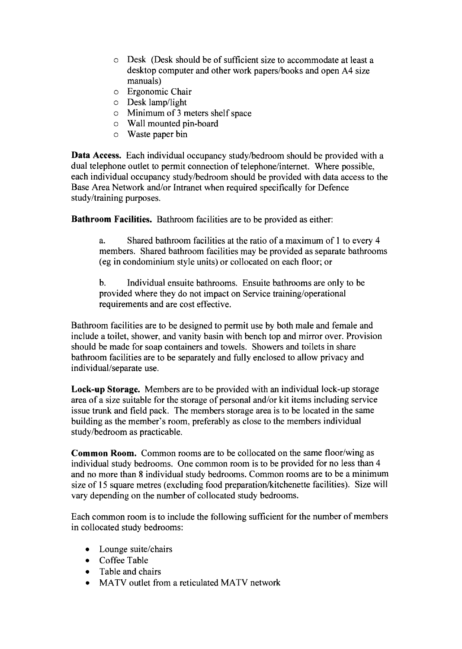- o Desk (Desk should be of sufficient size to accommodate at least a desktop computer and other work papers/books and open A4 size manuals)
- o Ergonomic Chair
- $\circ$  Desk lamp/light
- o Minimum of 3 meters shelf space
- o Wall mounted pin-board
- o Waste paper bin

**Data Access.** Each individual occupancy study/bedroom should be provided with a dual telephone outlet to permit connection of telephone/internet. Where possible, each individual occupancy studylbedroom should be provided with data access to the Base Area Network and/or Intranet when required specifically for Defence study/training purposes.

**Bathroom Facilities.** Bathroom facilities are to be provided as either:

a. Shared bathroom facilities at the ratio of a maximum of 1 to every 4 members. Shared bathroom facilities may be provided as separate bathrooms (eg in condominium style units) or collocated on each floor; or

b. Individual ensuite bathrooms. Ensuite bathrooms are only to be provided where they do not impact on Service training/operational requirements and are cost effective.

Bathroom facilities are to be designed to permit use by both male and female and include a toilet, shower, and vanity basin with bench top and mirror over. Provision should be made for soap containers and towels. Showers and toilets in share bathroom facilities are to be separately and fully enclosed to allow privacy and individual/separate use.

**Lock-up Storage.** Members are to be provided with an individual lock-up storage area of a size suitable for the storage of personal and/or kit items including service issue trunk and field pack. The members storage area is to be located in the same building as the member's room, preferably as close to the members individual studylbedroom as practicable.

**Common Room.** Common rooms are to be collocated on the same floor/wing as individual study bedrooms. One common room is to be provided for no less than 4 and no more than 8 individual study bedrooms. Common rooms are to be a minimum size of 15 square metres (excluding food preparation/kitchenette facilities). Size will vary depending on the number of collocated study bedrooms.

Each common room is to include the following sufficient for the number of members in collocated study bedrooms:

- $\bullet$  Lounge suite/chairs
- Coffee Table
- Table and chairs
- MATV outlet from a reticulated MATV network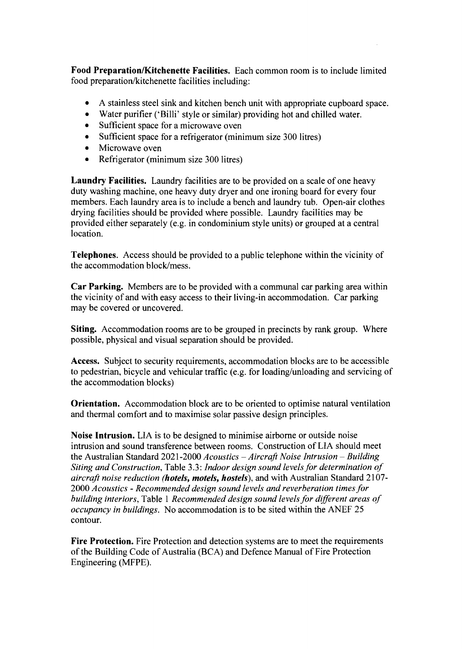**Food Preparation/Kitchenette Facilities.** Each common room is to include limited food preparation/kitchenette facilities including:

- A stainless steel sink and kitchen bench unit with appropriate cupboard space.  $\bullet$
- $\bullet$ Water purifier ('Billi' style or similar) providing hot and chilled water.
- Sufficient space for a microwave oven  $\bullet$
- Sufficient space for a refrigerator (minimum size 300 litres)  $\bullet$
- Microwave oven  $\bullet$
- $\bullet$ Refrigerator (minimum size 300 litres)

**Laundry Facilities.** Laundry facilities are to be provided on a scale of one heavy duty washing machine, one heavy duty dryer and one ironing board for every four members. Each laundry area is to include a bench and laundry tub. Open-air clothes drying facilities should be provided where possible. Laundry facilities may be provided either separately (e.g. in condominium style units) or grouped at a central location.

**Telephones.** Access should be provided to a public telephone within the vicinity of the accommodation block/mess.

**Car Parking.** Members are to be provided with a communal car parking area within the vicinity of and with easy access to their living-in accommodation. Car parking may be covered or uncovered.

**Siting.** Accommodation rooms are to be grouped in precincts by rank group. Where possible, physical and visual separation should be provided.

**Access.** Subject to security requirements, accommodation blocks are to be accessible to pedestrian, bicycle and vehicular traffic (e.g. for loading/unloading and servicing of the accommodation blocks)

**Orientation.** Accommodation block are to be oriented to optimise natural ventilation and thermal comfort and to maximise solar passive design principles.

**Noise Intrusion.** LIA is to be designed to minimise airborne or outside noise intrusion and sound transference between rooms. Construction of LIA should meet the Australian Standard 2021-2000 *Acoustics - Aircraft Noise Intrusion - Building Siting and Construction,* Table 3.3: *Indoor design sound levels for determination of aircraft noise reduction (hotels, motels, hostels)*, and with Australian Standard 2107-2000 *Acoustics* - *Recommended design sound levels and reverberation times for building interiors,* Table 1 *Recommended design sound levels for different areas of occupancy in buildings.* No accommodation is to be sited within the ANEF 25 contour.

**Fire Protection.** Fire Protection and detection systems are to meet the requirements of the Building Code of Australia (BCA) and Defence Manual of Fire Protection Engineering (MFPE).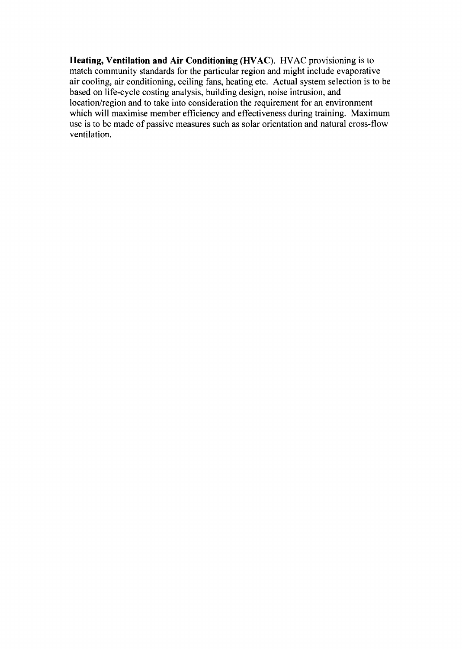**Heating, Ventilation and Air Conditioning (HVAC). HVAC** provisioning is to match community standards for the particular region and might include evaporative air cooling, air conditioning, ceiling fans, heating etc. Actual system selection is to be based on life-cycle costing analysis, building design, noise intrusion, and location/region and to take into consideration the requirement for an environment which will maximise member efficiency and effectiveness during training. Maximum use is to be made of passive measures such as solar orientation and natural cross-flow ventilation.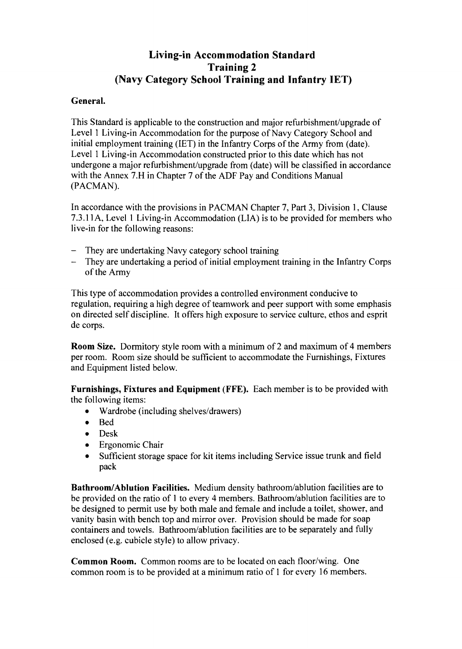## **Living-in Accommodation Standard Training 2 (Navy Category School Training and Infantry IET)**

#### **General.**

This Standard is applicable to the construction and major refurbishment/upgrade of Level 1 Living-in Accommodation for the purpose of Navy Category School and initial employment training (IET) in the Infantry Corps of the Army from (date). Level 1 Living-in Accommodation constructed prior to this date which has not undergone a major refurbishment/upgrade from (date) will be classified in accordance with the Annex 7.H in Chapter 7 of the ADF Pay and Conditions Manual (PACMAN).

In accordance with the provisions in PACMAN Chapter 7, Part 3, Division 1, Clause 7.3.11A, Level 1 Living-in Accommodation (LIA) is to be provided for members who live-in for the following reasons:

- They are undertaking Navy category school training
- They are undertaking a period of initial employment training in the Infantry Corps of the Army

This type of accommodation provides a controlled environment conducive to regulation, requiring a high degree of teamwork and peer support with some emphasis on directed self discipline. It offers high exposure to service culture, ethos and esprit de corps.

**Room Size.** Dormitory style room with a minimum of 2 and maximum of 4 members per room. Room size should be sufficient to accommodate the Furnishings, Fixtures and Equipment listed below.

**Furnishings, Fixtures and Equipment (FFE).** Each member is to be provided with the following items:

- Wardrobe (including shelves/drawers)
- Bed  $\bullet$
- Desk
- Ergonomic Chair
- Sufficient storage space for kit items including Service issue trunk and field  $\bullet$ pack

**Bathroom/Ablution Facilities.** Medium density bathroom/ablution facilities are to be provided on the ratio of 1 to every 4 members. Bathroom/ablution facilities are to be designed to permit use by both male and female and include a toilet, shower, and vanity basin with bench top and mirror over. Provision should be made for soap containers and towels. Bathroom/ablution facilities are to be separately and fully enclosed (e.g. cubicle style) to allow privacy.

**Common Room.** Common rooms are to be located on each floor/wing. One common room is to be provided at a minimum ratio of 1 for every 16 members.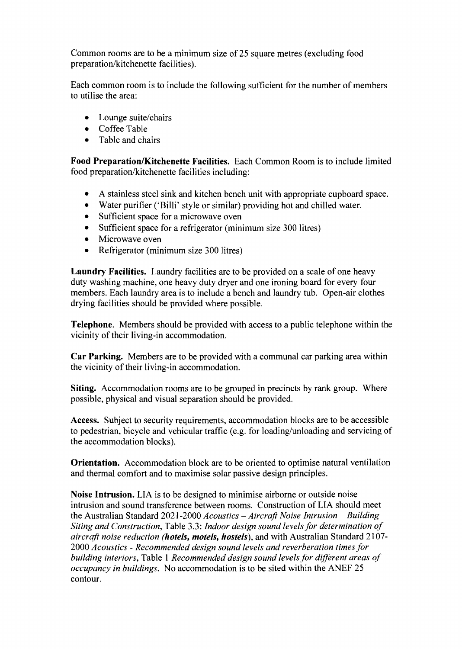Common rooms are to be a minimum size of 25 square metres (excluding food preparation/kitchenette facilities).

Each common room is to include the following sufficient for the number of members to utilise the area:

- $\bullet$  Lounge suite/chairs
- Coffee Table
- Table and chairs  $\bullet$

**Food PreparationJKitchenette Facilities.** Each Common Room is to include limited food preparation/kitchenette facilities including:

- A stainless steel sink and kitchen bench unit with appropriate cupboard space.  $\bullet$
- Water purifier ('Billi' style or similar) providing hot and chilled water.
- Sufficient space for a microwave oven
- Sufficient space for a refrigerator (minimum size 300 litres)
- Microwave oven  $\bullet$
- Refrigerator (minimum size 300 litres)  $\bullet$

**Laundry Facilities.** Laundry facilities are to be provided on a scale of one heavy duty washing machine, one heavy duty dryer and one ironing board for every four members. Each laundry area is to include a bench and laundry tub. Open-air clothes drying facilities should be provided where possible.

**Telephone.** Members should be provided with access to a public telephone within the vicinity of their living-in accommodation.

**Car Parking.** Members are to be provided with a communal car parking area within the vicinity of their living-in accommodation.

**Siting.** Accommodation rooms are to be grouped in precincts by rank group. Where possible, physical and visual separation should be provided.

**Access.** Subject to security requirements, accommodation blocks are to be accessible to pedestrian, bicycle and vehicular traffic (e.g. for loading/unloading and servicing of the accommodation blocks).

**Orientation.** Accommodation block are to be oriented to optimise natural ventilation and thermal comfort and to maximise solar passive design principles.

**Noise Intrusion.** LIA is to be designed to minimise airborne or outside noise intrusion and sound transference between rooms. Construction of LIA should meet the Australian Standard 2021-2000 *Acoustics - Aircraft Noise Intrusion - Building Siting and Construction,* Table 3.3: *Indoor design sound levels for determination of aircraft noise reduction (hotels, motels, hostels)*, and with Australian Standard 2107-2000 *Acoustics* - *Recommended design sound levels and reverberation times for building interiors,* Table 1 *Recommended design sound levels for different areas of occupancy in buildings.* No accommodation is to be sited within the ANEF 25 contour.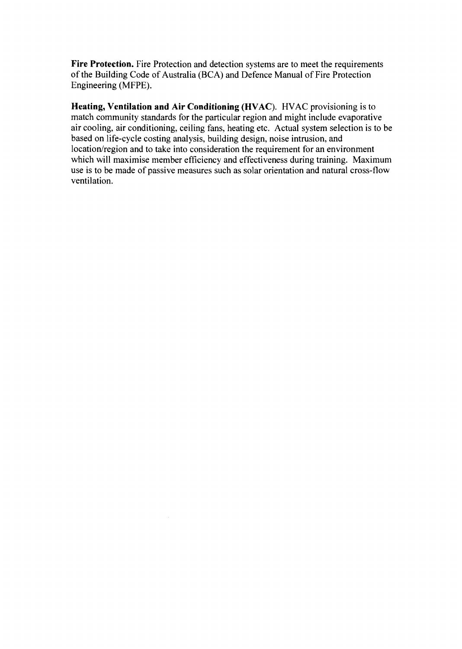Fire Protection. Fire Protection and detection systems are to meet the requirements of the Building Code of Australia (BCA) and Defence Manual of Fire Protection Engineering (MFPE).

Heating, Ventilation and Air Conditioning (HVAC). HVAC provisioning is to match community standards for the particular region and might include evaporative air cooling, air conditioning, ceiling fans, heating etc. Actual system selection is to be based on life-cycle costing analysis, building design, noise intrusion, and location/region and to take into consideration the requirement for an environment which will maximise member efficiency and effectiveness during training. Maximum use is to be made of passive measures such as solar orientation and natural cross-flow ventilation.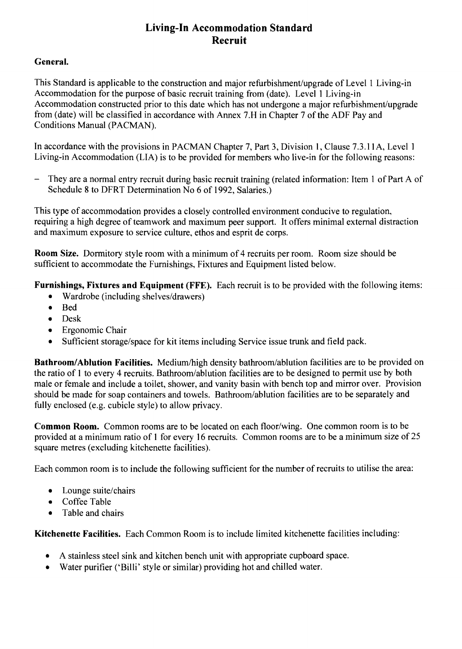# **Living-In Accommodation Standard Recruit**

#### **General.**

This Standard is applicable to the construction and major refurbishment/upgrade of Level 1 Living-in Accommodation for the purpose of basic recruit training from (date). Level 1 Living-in Accommodation constructed prior to this date which has not undergone a major refurbishment/upgrade from (date) will be classified in accordance with Annex 7.H in Chapter 7 of the ADF Pay and Conditions Manual (PACMAN).

In accordance with the provisions in PACMAN Chapter 7, Part 3, Division 1, Clause 7.3.11A, Level 1 Living-in Accommodation (LIA) is to be provided for members who live-in for the following reasons:

- They are a normal entry recruit during basic recruit training (related information: Item 1 of Part A of Schedule 8 to DFRT Determination No 6 of 1992, Salaries.)

This type of accommodation provides a closely controlled environment conducive to regulation, requiring a high degree of teamwork and maximum peer support. It offers minimal external distraction and maximum exposure to service culture, ethos and esprit de corps.

**Room Size.** Dormitory style room with a minimum of 4 recruits per room. Room size should be sufficient to accommodate the Furnishings, Fixtures and Equipment listed below.

**Furnishings, Fixtures and Equipment (FFE).** Each recruit is to be provided with the following items:

- Wardrobe (including shelves/drawers)  $\bullet$
- $\bullet$ Bed
- Desk  $\bullet$
- Ergonomic Chair  $\bullet$
- $\bullet$ Sufficient storage/space for kit items including Service issue trunk and field pack.

Bathroom/Ablution Facilities. Medium/high density bathroom/ablution facilities are to be provided on the ratio of 1 to every 4 recruits. Bathroom/ablution facilities are to be designed to permit use by both male or female and include a toilet, shower, and vanity basin with bench top and mirror over. Provision should be made for soap containers and towels. Bathroom/ablution facilities are to be separately and fully enclosed (e.g. cubicle style) to allow privacy.

**Common Room.** Common rooms are to be located on each floor/wing. One common room is to be provided at a minimum ratio of 1 for every 16 recruits. Common rooms are to be a minimum size of 25 square metres (excluding kitchenette facilities).

Each common room is to include the following sufficient for the number of recruits to utilise the area:

- $\bullet$  Lounge suite/chairs
- Coffee Table
- Table and chairs

**Kitchenette Facilities.** Each Common Room is to include limited kitchenette facilities including:

- A stainless steel sink and kitchen bench unit with appropriate cupboard space.
- Water purifier ('Billi' style or similar) providing hot and chilled water.  $\bullet$